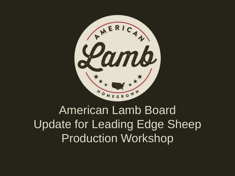

# American Lamb Board Update for Leading Edge Sheep Production Workshop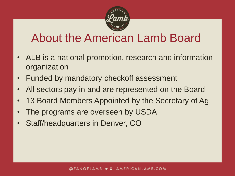

## About the American Lamb Board

- ALB is a national promotion, research and information organization
- Funded by mandatory checkoff assessment
- All sectors pay in and are represented on the Board
- 13 Board Members Appointed by the Secretary of Ag
- The programs are overseen by USDA
- Staff/headquarters in Denver, CO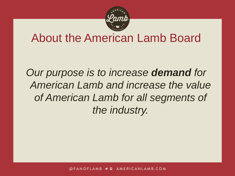

#### About the American Lamb Board

*Our purpose is to increase demand for American Lamb and increase the value of American Lamb for all segments of the industry.*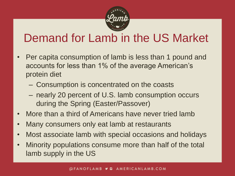

## Demand for Lamb in the US Market

- Per capita consumption of lamb is less than 1 pound and accounts for less than 1% of the average American's protein diet
	- Consumption is concentrated on the coasts
	- nearly 20 percent of U.S. lamb consumption occurs during the Spring (Easter/Passover)
- More than a third of Americans have never tried lamb
- Many consumers only eat lamb at restaurants
- Most associate lamb with special occasions and holidays
- Minority populations consume more than half of the total lamb supply in the US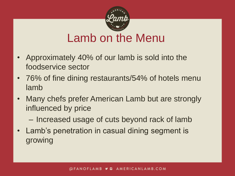

### Lamb on the Menu

- Approximately 40% of our lamb is sold into the foodservice sector
- 76% of fine dining restaurants/54% of hotels menu lamb
- Many chefs prefer American Lamb but are strongly influenced by price
	- Increased usage of cuts beyond rack of lamb
- Lamb's penetration in casual dining segment is growing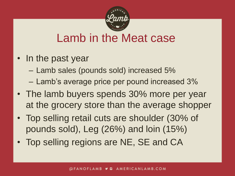

## Lamb in the Meat case

- In the past year
	- Lamb sales (pounds sold) increased 5%
	- Lamb's average price per pound increased 3%
- The lamb buyers spends 30% more per year at the grocery store than the average shopper
- Top selling retail cuts are shoulder (30% of pounds sold), Leg (26%) and loin (15%)
- Top selling regions are NE, SE and CA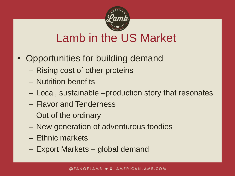

## Lamb in the US Market

- Opportunities for building demand
	- Rising cost of other proteins
	- Nutrition benefits
	- Local, sustainable –production story that resonates
	- Flavor and Tenderness
	- Out of the ordinary
	- New generation of adventurous foodies
	- Ethnic markets
	- Export Markets global demand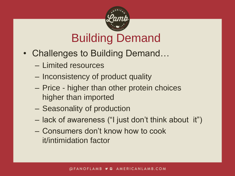

## Building Demand

- Challenges to Building Demand...
	- Limited resources
	- Inconsistency of product quality
	- Price higher than other protein choices higher than imported
	- Seasonality of production
	- lack of awareness ("I just don't think about it")
	- Consumers don't know how to cook it/intimidation factor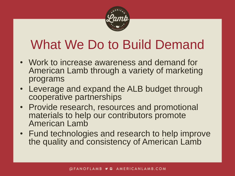

# What We Do to Build Demand

- Work to increase awareness and demand for American Lamb through a variety of marketing programs
- Leverage and expand the ALB budget through cooperative partnerships
- Provide research, resources and promotional materials to help our contributors promote American Lamb
- Fund technologies and research to help improve the quality and consistency of American Lamb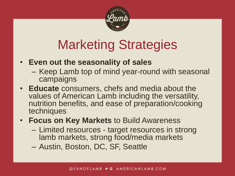

# Marketing Strategies

- **Even out the seasonality of sales**
	- Keep Lamb top of mind year-round with seasonal campaigns
- **Educate** consumers, chefs and media about the values of American Lamb including the versatility, nutrition benefits, and ease of preparation/cooking techniques
- **Focus on Key Markets** to Build Awareness
	- Limited resources target resources in strong lamb markets, strong food/media markets
	- Austin, Boston, DC, SF, Seattle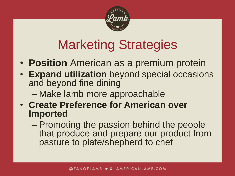

# Marketing Strategies

- **Position** American as a premium protein
- **Expand utilization** beyond special occasions and beyond fine dining
	- Make lamb more approachable
- **Create Preference for American over Imported**
	- Promoting the passion behind the people that produce and prepare our product from pasture to plate/shepherd to chef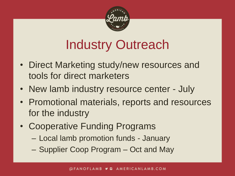

# Industry Outreach

- Direct Marketing study/new resources and tools for direct marketers
- New lamb industry resource center July
- Promotional materials, reports and resources for the industry
- Cooperative Funding Programs
	- Local lamb promotion funds January
	- Supplier Coop Program Oct and May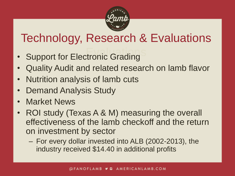

## Technology, Research & Evaluations

- **Support for Electronic Grading**
- Quality Audit and related research on lamb flavor
- Nutrition analysis of lamb cuts
- Demand Analysis Study
- Market News
- ROI study (Texas A & M) measuring the overall effectiveness of the lamb checkoff and the return on investment by sector
	- For every dollar invested into ALB (2002-2013), the industry received \$14.40 in additional profits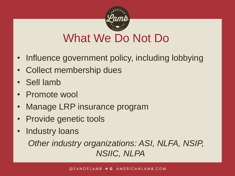

## What We Do Not Do

- Influence government policy, including lobbying
- Collect membership dues
- Sell lamb
- Promote wool
- Manage LRP insurance program
- Provide genetic tools
- Industry loans

*Other industry organizations: ASI, NLFA, NSIP, NSIIC, NLPA*